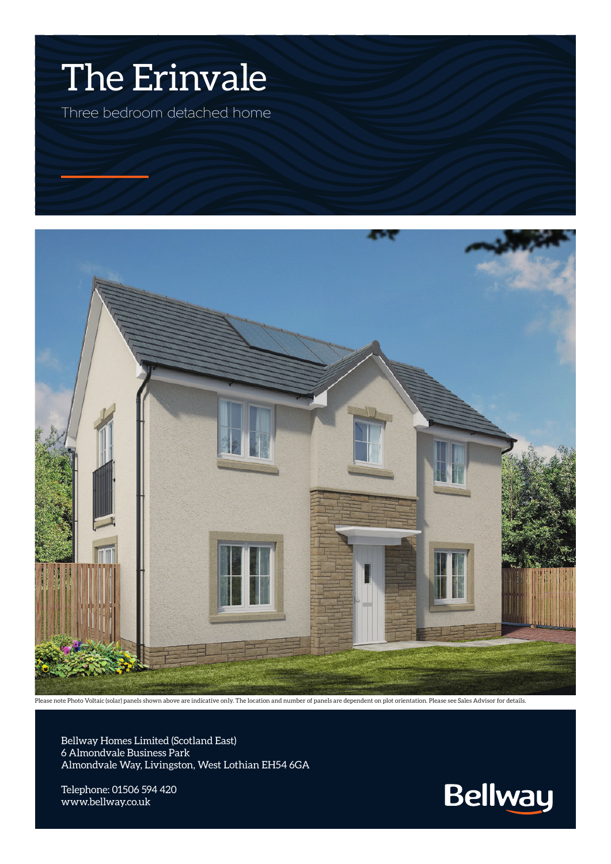## The Erinvale

Three bedroom detached home



Please note Photo Voltaic (solar) panels shown above are indicative only. The location and number of panels are dependent on plot orientation. Please see Sales Advisor for details.

Bellway Homes Limited (Scotland East) 6 Almondvale Business Park Almondvale Way, Livingston, West Lothian EH54 6GA

Telephone: 01506 594 420 www.bellway.co.uk